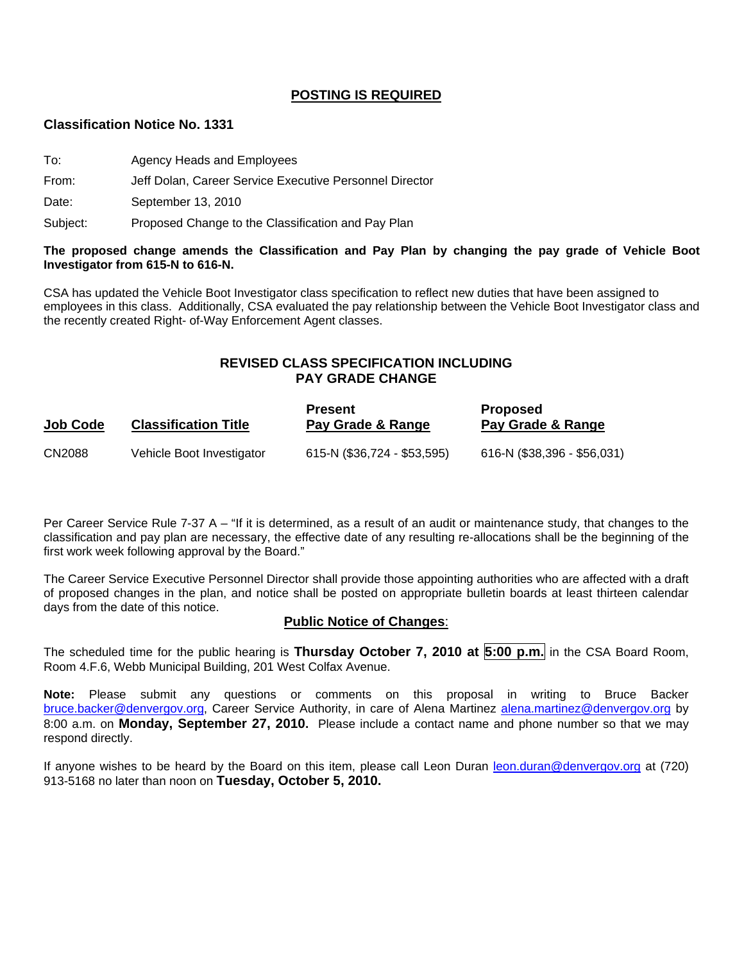#### **POSTING IS REQUIRED**

#### **Classification Notice No. 1331**

- To: Agency Heads and Employees
- From: Jeff Dolan, Career Service Executive Personnel Director

Date: September 13, 2010

Subject: Proposed Change to the Classification and Pay Plan

#### **The proposed change amends the Classification and Pay Plan by changing the pay grade of Vehicle Boot Investigator from 615-N to 616-N.**

CSA has updated the Vehicle Boot Investigator class specification to reflect new duties that have been assigned to employees in this class. Additionally, CSA evaluated the pay relationship between the Vehicle Boot Investigator class and the recently created Right- of-Way Enforcement Agent classes.

#### **REVISED CLASS SPECIFICATION INCLUDING PAY GRADE CHANGE**

| Job Code | <b>Classification Title</b> | <b>Present</b><br>Pay Grade & Range | <b>Proposed</b><br>Pay Grade & Range |
|----------|-----------------------------|-------------------------------------|--------------------------------------|
| CN2088   | Vehicle Boot Investigator   | 615-N (\$36,724 - \$53,595)         | 616-N (\$38,396 - \$56,031)          |

Per Career Service Rule 7-37 A – "If it is determined, as a result of an audit or maintenance study, that changes to the classification and pay plan are necessary, the effective date of any resulting re-allocations shall be the beginning of the first work week following approval by the Board."

The Career Service Executive Personnel Director shall provide those appointing authorities who are affected with a draft of proposed changes in the plan, and notice shall be posted on appropriate bulletin boards at least thirteen calendar days from the date of this notice.

#### **Public Notice of Changes**:

The scheduled time for the public hearing is **Thursday October 7, 2010 at 5:00 p.m.** in the CSA Board Room, Room 4.F.6, Webb Municipal Building, 201 West Colfax Avenue.

**Note:** Please submit any questions or comments on this proposal in writing to Bruce Backer [bruce.backer@denvergov.org,](mailto:bruce.backer@denvergov.org) Career Service Authority, in care of Alena Martinez [alena.martinez@denvergov.org](mailto:alena.martinez@denvergov.org) by 8:00 a.m. on **Monday, September 27, 2010.** Please include a contact name and phone number so that we may respond directly.

If anyone wishes to be heard by the Board on this item, please call Leon Duran [leon.duran@denvergov.org](mailto:leon.duran@denvergov.org) at (720) 913-5168 no later than noon on **Tuesday, October 5, 2010.**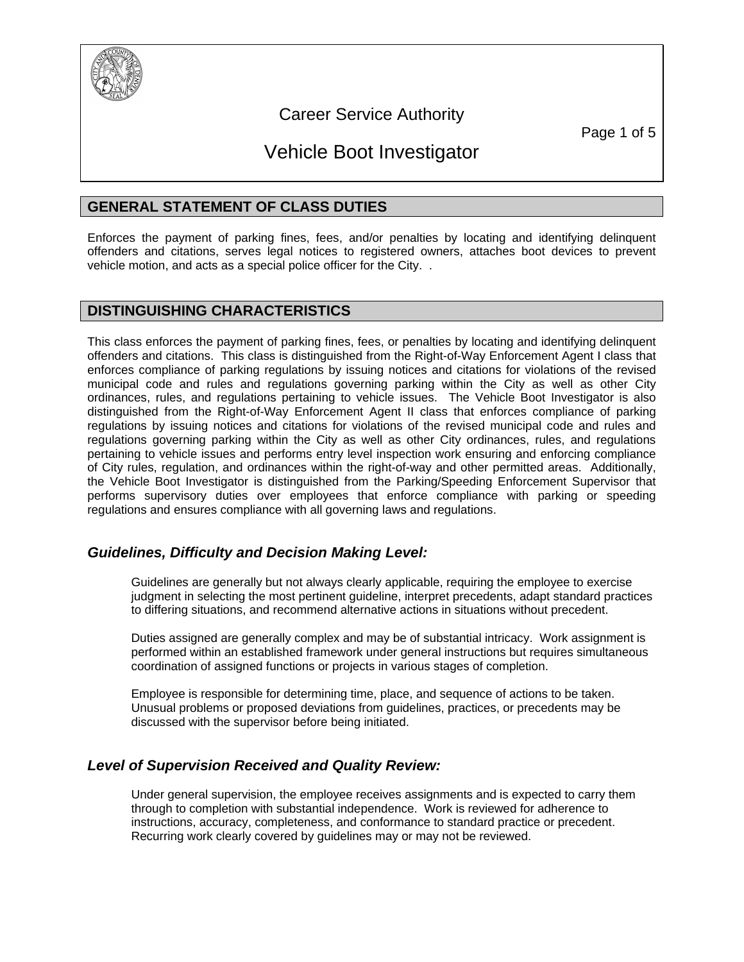

### Career Service Authority

Page 1 of 5

## Vehicle Boot Investigator

#### **GENERAL STATEMENT OF CLASS DUTIES**

Enforces the payment of parking fines, fees, and/or penalties by locating and identifying delinquent offenders and citations, serves legal notices to registered owners, attaches boot devices to prevent vehicle motion, and acts as a special police officer for the City. .

#### **DISTINGUISHING CHARACTERISTICS**

This class enforces the payment of parking fines, fees, or penalties by locating and identifying delinquent offenders and citations. This class is distinguished from the Right-of-Way Enforcement Agent I class that enforces compliance of parking regulations by issuing notices and citations for violations of the revised municipal code and rules and regulations governing parking within the City as well as other City ordinances, rules, and regulations pertaining to vehicle issues. The Vehicle Boot Investigator is also distinguished from the Right-of-Way Enforcement Agent II class that enforces compliance of parking regulations by issuing notices and citations for violations of the revised municipal code and rules and regulations governing parking within the City as well as other City ordinances, rules, and regulations pertaining to vehicle issues and performs entry level inspection work ensuring and enforcing compliance of City rules, regulation, and ordinances within the right-of-way and other permitted areas. Additionally, the Vehicle Boot Investigator is distinguished from the Parking/Speeding Enforcement Supervisor that performs supervisory duties over employees that enforce compliance with parking or speeding regulations and ensures compliance with all governing laws and regulations.

#### *Guidelines, Difficulty and Decision Making Level:*

Guidelines are generally but not always clearly applicable, requiring the employee to exercise judgment in selecting the most pertinent guideline, interpret precedents, adapt standard practices to differing situations, and recommend alternative actions in situations without precedent.

Duties assigned are generally complex and may be of substantial intricacy. Work assignment is performed within an established framework under general instructions but requires simultaneous coordination of assigned functions or projects in various stages of completion.

Employee is responsible for determining time, place, and sequence of actions to be taken. Unusual problems or proposed deviations from guidelines, practices, or precedents may be discussed with the supervisor before being initiated.

#### *Level of Supervision Received and Quality Review:*

Under general supervision, the employee receives assignments and is expected to carry them through to completion with substantial independence. Work is reviewed for adherence to instructions, accuracy, completeness, and conformance to standard practice or precedent. Recurring work clearly covered by guidelines may or may not be reviewed.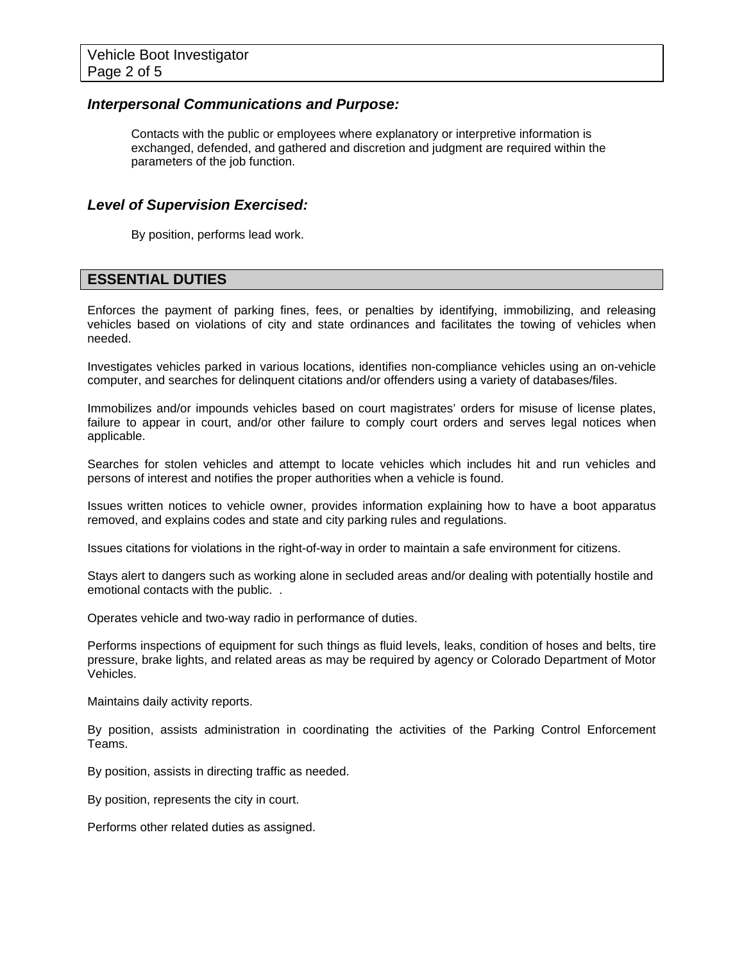#### *Interpersonal Communications and Purpose:*

Contacts with the public or employees where explanatory or interpretive information is exchanged, defended, and gathered and discretion and judgment are required within the parameters of the job function.

#### *Level of Supervision Exercised:*

By position, performs lead work.

#### **ESSENTIAL DUTIES**

Enforces the payment of parking fines, fees, or penalties by identifying, immobilizing, and releasing vehicles based on violations of city and state ordinances and facilitates the towing of vehicles when needed.

Investigates vehicles parked in various locations, identifies non-compliance vehicles using an on-vehicle computer, and searches for delinquent citations and/or offenders using a variety of databases/files.

Immobilizes and/or impounds vehicles based on court magistrates' orders for misuse of license plates, failure to appear in court, and/or other failure to comply court orders and serves legal notices when applicable.

Searches for stolen vehicles and attempt to locate vehicles which includes hit and run vehicles and persons of interest and notifies the proper authorities when a vehicle is found.

Issues written notices to vehicle owner, provides information explaining how to have a boot apparatus removed, and explains codes and state and city parking rules and regulations.

Issues citations for violations in the right-of-way in order to maintain a safe environment for citizens.

Stays alert to dangers such as working alone in secluded areas and/or dealing with potentially hostile and emotional contacts with the public. .

Operates vehicle and two-way radio in performance of duties.

Performs inspections of equipment for such things as fluid levels, leaks, condition of hoses and belts, tire pressure, brake lights, and related areas as may be required by agency or Colorado Department of Motor Vehicles.

Maintains daily activity reports.

By position, assists administration in coordinating the activities of the Parking Control Enforcement Teams.

By position, assists in directing traffic as needed.

By position, represents the city in court.

Performs other related duties as assigned.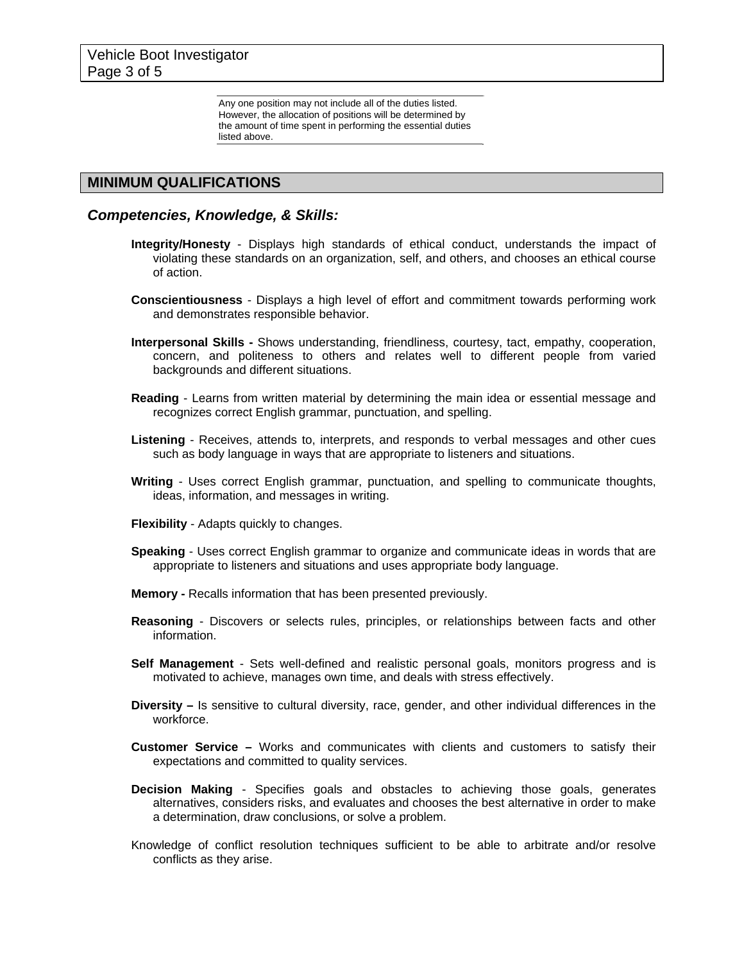Any one position may not include all of the duties listed. However, the allocation of positions will be determined by the amount of time spent in performing the essential duties listed above.

#### **MINIMUM QUALIFICATIONS**

#### *Competencies, Knowledge, & Skills:*

- **Integrity/Honesty** Displays high standards of ethical conduct, understands the impact of violating these standards on an organization, self, and others, and chooses an ethical course of action.
- **Conscientiousness** Displays a high level of effort and commitment towards performing work and demonstrates responsible behavior.
- **Interpersonal Skills** Shows understanding, friendliness, courtesy, tact, empathy, cooperation, concern, and politeness to others and relates well to different people from varied backgrounds and different situations.
- **Reading** Learns from written material by determining the main idea or essential message and recognizes correct English grammar, punctuation, and spelling.
- **Listening** Receives, attends to, interprets, and responds to verbal messages and other cues such as body language in ways that are appropriate to listeners and situations.
- **Writing** Uses correct English grammar, punctuation, and spelling to communicate thoughts, ideas, information, and messages in writing.
- **Flexibility** Adapts quickly to changes.
- **Speaking** Uses correct English grammar to organize and communicate ideas in words that are appropriate to listeners and situations and uses appropriate body language.
- **Memory** Recalls information that has been presented previously.
- **Reasoning**  Discovers or selects rules, principles, or relationships between facts and other information.
- **Self Management** Sets well-defined and realistic personal goals, monitors progress and is motivated to achieve, manages own time, and deals with stress effectively.
- **Diversity –** Is sensitive to cultural diversity, race, gender, and other individual differences in the workforce.
- **Customer Service –** Works and communicates with clients and customers to satisfy their expectations and committed to quality services.
- **Decision Making** Specifies goals and obstacles to achieving those goals, generates alternatives, considers risks, and evaluates and chooses the best alternative in order to make a determination, draw conclusions, or solve a problem.
- Knowledge of conflict resolution techniques sufficient to be able to arbitrate and/or resolve conflicts as they arise.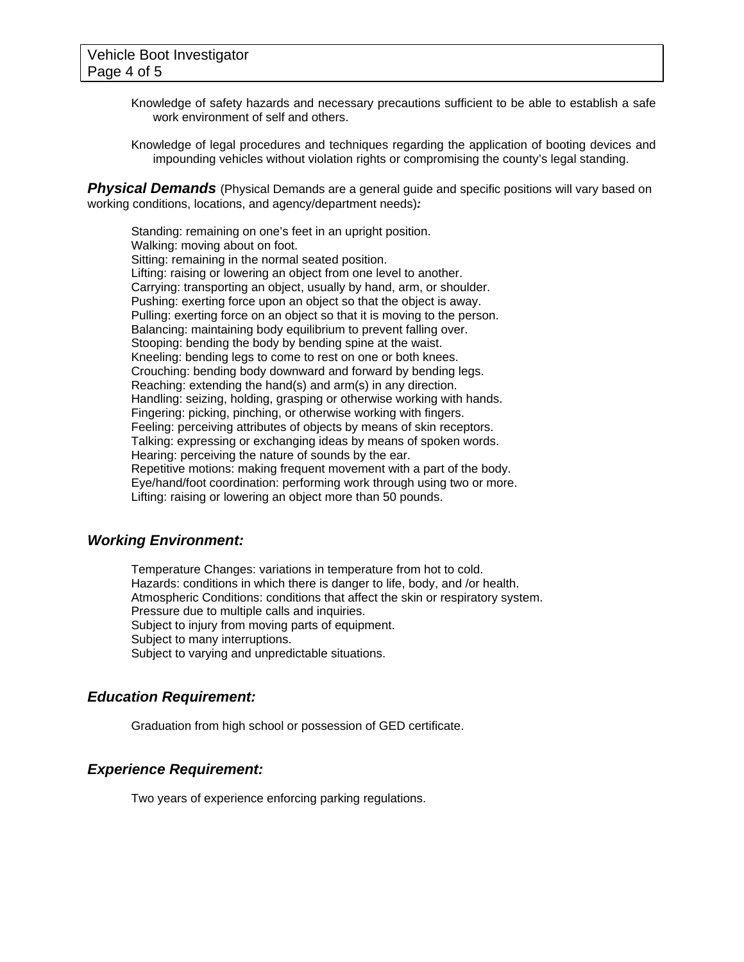- Knowledge of safety hazards and necessary precautions sufficient to be able to establish a safe work environment of self and others.
- Knowledge of legal procedures and techniques regarding the application of booting devices and impounding vehicles without violation rights or compromising the county's legal standing.

**Physical Demands** (Physical Demands are a general guide and specific positions will vary based on working conditions, locations, and agency/department needs)*:* 

Standing: remaining on one's feet in an upright position. Walking: moving about on foot. Sitting: remaining in the normal seated position. Lifting: raising or lowering an object from one level to another. Carrying: transporting an object, usually by hand, arm, or shoulder. Pushing: exerting force upon an object so that the object is away. Pulling: exerting force on an object so that it is moving to the person. Balancing: maintaining body equilibrium to prevent falling over. Stooping: bending the body by bending spine at the waist. Kneeling: bending legs to come to rest on one or both knees. Crouching: bending body downward and forward by bending legs. Reaching: extending the hand(s) and arm(s) in any direction. Handling: seizing, holding, grasping or otherwise working with hands. Fingering: picking, pinching, or otherwise working with fingers. Feeling: perceiving attributes of objects by means of skin receptors. Talking: expressing or exchanging ideas by means of spoken words. Hearing: perceiving the nature of sounds by the ear. Repetitive motions: making frequent movement with a part of the body. Eye/hand/foot coordination: performing work through using two or more. Lifting: raising or lowering an object more than 50 pounds.

#### *Working Environment:*

Temperature Changes: variations in temperature from hot to cold. Hazards: conditions in which there is danger to life, body, and /or health. Atmospheric Conditions: conditions that affect the skin or respiratory system. Pressure due to multiple calls and inquiries. Subject to injury from moving parts of equipment. Subject to many interruptions. Subject to varying and unpredictable situations.

#### *Education Requirement:*

Graduation from high school or possession of GED certificate.

#### *Experience Requirement:*

Two years of experience enforcing parking regulations.